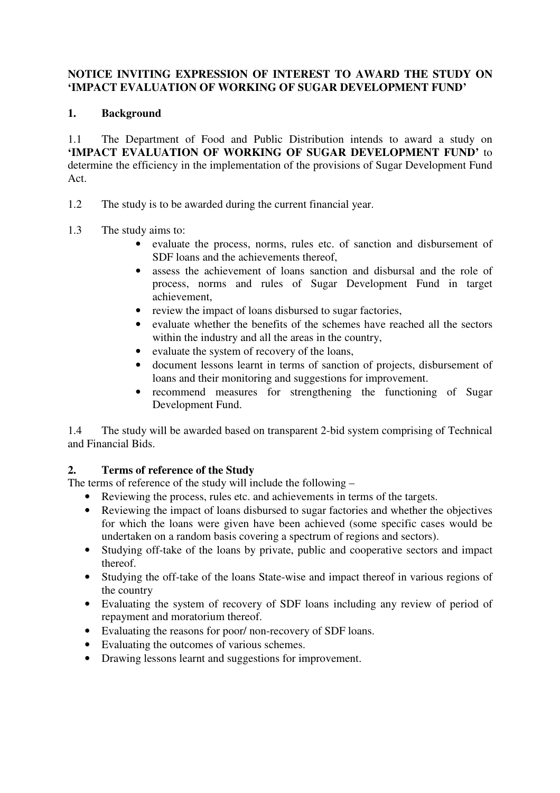#### **NOTICE INVITING EXPRESSION OF INTEREST TO AWARD THE STUDY ON 'IMPACT EVALUATION OF WORKING OF SUGAR DEVELOPMENT FUND'**

### **1. Background**

1.1 The Department of Food and Public Distribution intends to award a study on **'IMPACT EVALUATION OF WORKING OF SUGAR DEVELOPMENT FUND'** to determine the efficiency in the implementation of the provisions of Sugar Development Fund Act.

- 1.2 The study is to be awarded during the current financial year.
- 1.3 The study aims to:
	- evaluate the process, norms, rules etc. of sanction and disbursement of SDF loans and the achievements thereof.
	- assess the achievement of loans sanction and disbursal and the role of process, norms and rules of Sugar Development Fund in target achievement,
	- review the impact of loans disbursed to sugar factories,
	- evaluate whether the benefits of the schemes have reached all the sectors within the industry and all the areas in the country,
	- evaluate the system of recovery of the loans,
	- document lessons learnt in terms of sanction of projects, disbursement of loans and their monitoring and suggestions for improvement.
	- recommend measures for strengthening the functioning of Sugar Development Fund.

1.4 The study will be awarded based on transparent 2-bid system comprising of Technical and Financial Bids.

## **2. Terms of reference of the Study**

The terms of reference of the study will include the following –

- Reviewing the process, rules etc. and achievements in terms of the targets.
- Reviewing the impact of loans disbursed to sugar factories and whether the objectives for which the loans were given have been achieved (some specific cases would be undertaken on a random basis covering a spectrum of regions and sectors).
- Studying off-take of the loans by private, public and cooperative sectors and impact thereof.
- Studying the off-take of the loans State-wise and impact thereof in various regions of the country
- Evaluating the system of recovery of SDF loans including any review of period of repayment and moratorium thereof.
- Evaluating the reasons for poor/ non-recovery of SDF loans.
- Evaluating the outcomes of various schemes.
- Drawing lessons learnt and suggestions for improvement.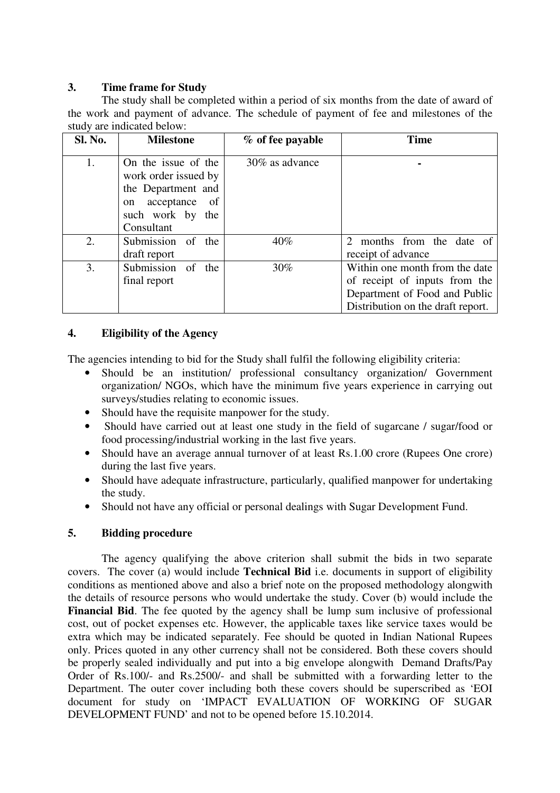#### **3. Time frame for Study**

The study shall be completed within a period of six months from the date of award of the work and payment of advance. The schedule of payment of fee and milestones of the study are indicated below:

| Sl. No. | <b>Milestone</b>                                                                         | % of fee payable | <b>Time</b>                                                                                                                           |
|---------|------------------------------------------------------------------------------------------|------------------|---------------------------------------------------------------------------------------------------------------------------------------|
| 1.      | On the issue of the<br>work order issued by<br>the Department and<br>acceptance of<br>on | 30% as advance   |                                                                                                                                       |
|         | such work by the<br>Consultant                                                           |                  |                                                                                                                                       |
| 2.      | Submission of the<br>draft report                                                        | $40\%$           | months from the date of<br>$\mathcal{D}_{\mathcal{L}}$<br>receipt of advance                                                          |
| 3.      | Submission of the<br>final report                                                        | 30%              | Within one month from the date<br>of receipt of inputs from the<br>Department of Food and Public<br>Distribution on the draft report. |

#### **4. Eligibility of the Agency**

The agencies intending to bid for the Study shall fulfil the following eligibility criteria:

- Should be an institution/ professional consultancy organization/ Government organization/ NGOs, which have the minimum five years experience in carrying out surveys/studies relating to economic issues.
- Should have the requisite manpower for the study.
- Should have carried out at least one study in the field of sugarcane / sugar/food or food processing/industrial working in the last five years.
- Should have an average annual turnover of at least Rs.1.00 crore (Rupees One crore) during the last five years.
- Should have adequate infrastructure, particularly, qualified manpower for undertaking the study.
- Should not have any official or personal dealings with Sugar Development Fund.

#### **5. Bidding procedure**

 The agency qualifying the above criterion shall submit the bids in two separate covers. The cover (a) would include **Technical Bid** i.e. documents in support of eligibility conditions as mentioned above and also a brief note on the proposed methodology alongwith the details of resource persons who would undertake the study. Cover (b) would include the **Financial Bid**. The fee quoted by the agency shall be lump sum inclusive of professional cost, out of pocket expenses etc. However, the applicable taxes like service taxes would be extra which may be indicated separately. Fee should be quoted in Indian National Rupees only. Prices quoted in any other currency shall not be considered. Both these covers should be properly sealed individually and put into a big envelope alongwith Demand Drafts/Pay Order of Rs.100/- and Rs.2500/- and shall be submitted with a forwarding letter to the Department. The outer cover including both these covers should be superscribed as 'EOI document for study on 'IMPACT EVALUATION OF WORKING OF SUGAR DEVELOPMENT FUND' and not to be opened before 15.10.2014.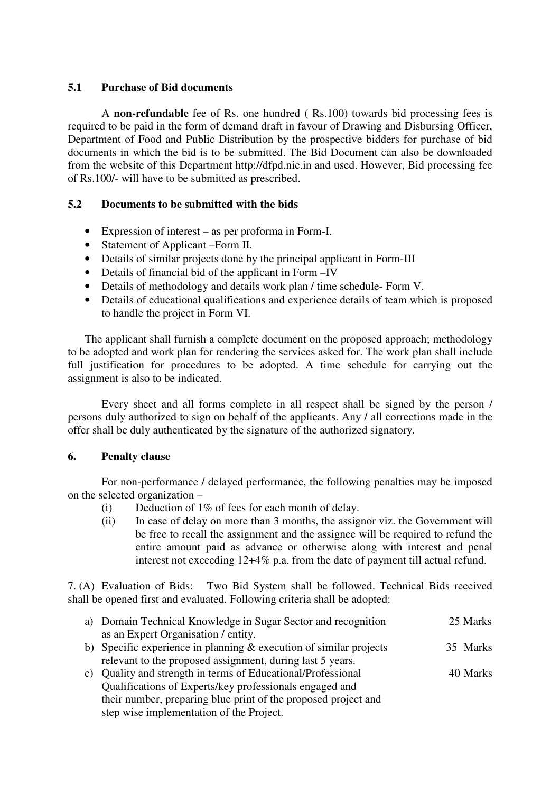#### **5.1 Purchase of Bid documents**

A **non-refundable** fee of Rs. one hundred ( Rs.100) towards bid processing fees is required to be paid in the form of demand draft in favour of Drawing and Disbursing Officer, Department of Food and Public Distribution by the prospective bidders for purchase of bid documents in which the bid is to be submitted. The Bid Document can also be downloaded from the website of this Department http://dfpd.nic.in and used. However, Bid processing fee of Rs.100/- will have to be submitted as prescribed.

### **5.2 Documents to be submitted with the bids**

- Expression of interest as per proforma in Form-I.
- Statement of Applicant –Form II.
- Details of similar projects done by the principal applicant in Form-III
- Details of financial bid of the applicant in Form –IV
- Details of methodology and details work plan / time schedule- Form V.
- Details of educational qualifications and experience details of team which is proposed to handle the project in Form VI.

The applicant shall furnish a complete document on the proposed approach; methodology to be adopted and work plan for rendering the services asked for. The work plan shall include full justification for procedures to be adopted. A time schedule for carrying out the assignment is also to be indicated.

 Every sheet and all forms complete in all respect shall be signed by the person / persons duly authorized to sign on behalf of the applicants. Any / all corrections made in the offer shall be duly authenticated by the signature of the authorized signatory.

#### **6. Penalty clause**

 For non-performance / delayed performance, the following penalties may be imposed on the selected organization –

- (i) Deduction of 1% of fees for each month of delay.
- (ii) In case of delay on more than 3 months, the assignor viz. the Government will be free to recall the assignment and the assignee will be required to refund the entire amount paid as advance or otherwise along with interest and penal interest not exceeding 12+4% p.a. from the date of payment till actual refund.

7. (A) Evaluation of Bids: Two Bid System shall be followed. Technical Bids received shall be opened first and evaluated. Following criteria shall be adopted:

| a) Domain Technical Knowledge in Sugar Sector and recognition                                                                   | 25 Marks |
|---------------------------------------------------------------------------------------------------------------------------------|----------|
| as an Expert Organisation / entity.                                                                                             |          |
| b) Specific experience in planning $&$ execution of similar projects                                                            | 35 Marks |
| relevant to the proposed assignment, during last 5 years.                                                                       |          |
| c) Quality and strength in terms of Educational/Professional                                                                    | 40 Marks |
| Qualifications of Experts/key professionals engaged and                                                                         |          |
| $\mathcal{A}$ , the model of the model of the state of the state of $\mathcal{A}$ , and the state of the state of $\mathcal{A}$ |          |

their number, preparing blue print of the proposed project and step wise implementation of the Project.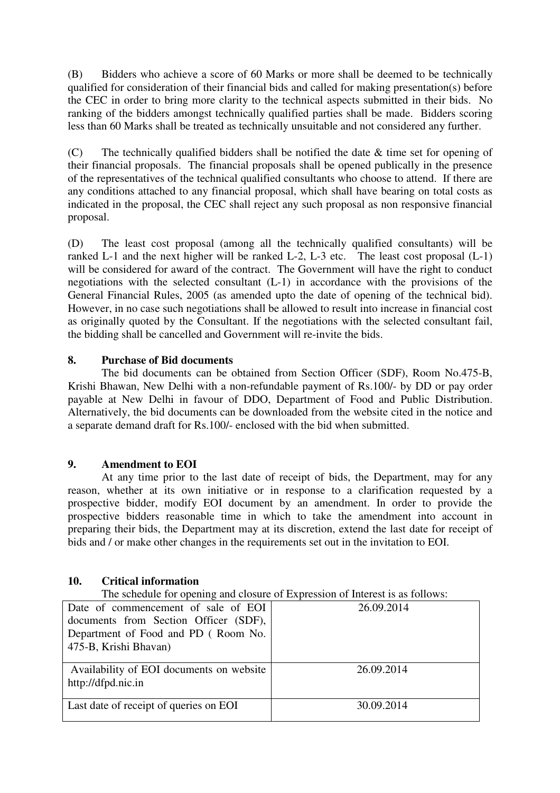(B) Bidders who achieve a score of 60 Marks or more shall be deemed to be technically qualified for consideration of their financial bids and called for making presentation(s) before the CEC in order to bring more clarity to the technical aspects submitted in their bids. No ranking of the bidders amongst technically qualified parties shall be made. Bidders scoring less than 60 Marks shall be treated as technically unsuitable and not considered any further.

(C) The technically qualified bidders shall be notified the date & time set for opening of their financial proposals. The financial proposals shall be opened publically in the presence of the representatives of the technical qualified consultants who choose to attend. If there are any conditions attached to any financial proposal, which shall have bearing on total costs as indicated in the proposal, the CEC shall reject any such proposal as non responsive financial proposal.

(D) The least cost proposal (among all the technically qualified consultants) will be ranked L-1 and the next higher will be ranked L-2, L-3 etc. The least cost proposal (L-1) will be considered for award of the contract. The Government will have the right to conduct negotiations with the selected consultant (L-1) in accordance with the provisions of the General Financial Rules, 2005 (as amended upto the date of opening of the technical bid). However, in no case such negotiations shall be allowed to result into increase in financial cost as originally quoted by the Consultant. If the negotiations with the selected consultant fail, the bidding shall be cancelled and Government will re-invite the bids.

### **8. Purchase of Bid documents**

 The bid documents can be obtained from Section Officer (SDF), Room No.475-B, Krishi Bhawan, New Delhi with a non-refundable payment of Rs.100/- by DD or pay order payable at New Delhi in favour of DDO, Department of Food and Public Distribution. Alternatively, the bid documents can be downloaded from the website cited in the notice and a separate demand draft for Rs.100/- enclosed with the bid when submitted.

#### **9. Amendment to EOI**

At any time prior to the last date of receipt of bids, the Department, may for any reason, whether at its own initiative or in response to a clarification requested by a prospective bidder, modify EOI document by an amendment. In order to provide the prospective bidders reasonable time in which to take the amendment into account in preparing their bids, the Department may at its discretion, extend the last date for receipt of bids and / or make other changes in the requirements set out in the invitation to EOI.

#### **10. Critical information**

The schedule for opening and closure of Expression of Interest is as follows:

| Date of commencement of sale of EOI<br>documents from Section Officer (SDF), | 26.09.2014 |
|------------------------------------------------------------------------------|------------|
| Department of Food and PD (Room No.                                          |            |
| 475-B, Krishi Bhavan)                                                        |            |
| Availability of EOI documents on website                                     | 26.09.2014 |
| http://dfpd.nic.in                                                           |            |
| Last date of receipt of queries on EOI                                       | 30.09.2014 |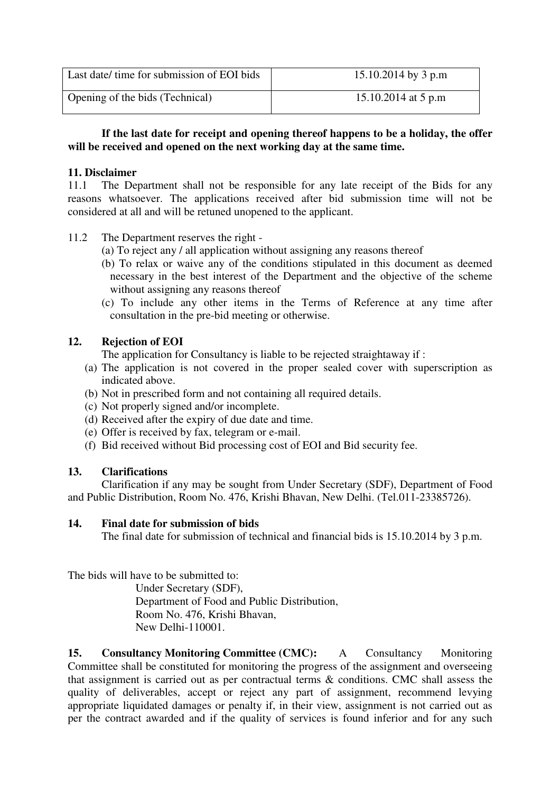| Last date/ time for submission of EOI bids | 15.10.2014 by 3 p.m |
|--------------------------------------------|---------------------|
| Opening of the bids (Technical)            | 15.10.2014 at 5 p.m |

#### **If the last date for receipt and opening thereof happens to be a holiday, the offer will be received and opened on the next working day at the same time.**

#### **11. Disclaimer**

11.1 The Department shall not be responsible for any late receipt of the Bids for any reasons whatsoever. The applications received after bid submission time will not be considered at all and will be retuned unopened to the applicant.

- 11.2 The Department reserves the right
	- (a) To reject any / all application without assigning any reasons thereof
	- (b) To relax or waive any of the conditions stipulated in this document as deemed necessary in the best interest of the Department and the objective of the scheme without assigning any reasons thereof
	- (c) To include any other items in the Terms of Reference at any time after consultation in the pre-bid meeting or otherwise.

### **12. Rejection of EOI**

The application for Consultancy is liable to be rejected straightaway if :

- (a) The application is not covered in the proper sealed cover with superscription as indicated above.
- (b) Not in prescribed form and not containing all required details.
- (c) Not properly signed and/or incomplete.
- (d) Received after the expiry of due date and time.
- (e) Offer is received by fax, telegram or e-mail.
- (f) Bid received without Bid processing cost of EOI and Bid security fee.

#### **13. Clarifications**

Clarification if any may be sought from Under Secretary (SDF), Department of Food and Public Distribution, Room No. 476, Krishi Bhavan, New Delhi. (Tel.011-23385726).

#### **14. Final date for submission of bids**

The final date for submission of technical and financial bids is 15.10.2014 by 3 p.m.

The bids will have to be submitted to:

 Under Secretary (SDF), Department of Food and Public Distribution, Room No. 476, Krishi Bhavan, New Delhi-110001.

**15. Consultancy Monitoring Committee (CMC):** A Consultancy Monitoring Committee shall be constituted for monitoring the progress of the assignment and overseeing that assignment is carried out as per contractual terms & conditions. CMC shall assess the quality of deliverables, accept or reject any part of assignment, recommend levying appropriate liquidated damages or penalty if, in their view, assignment is not carried out as per the contract awarded and if the quality of services is found inferior and for any such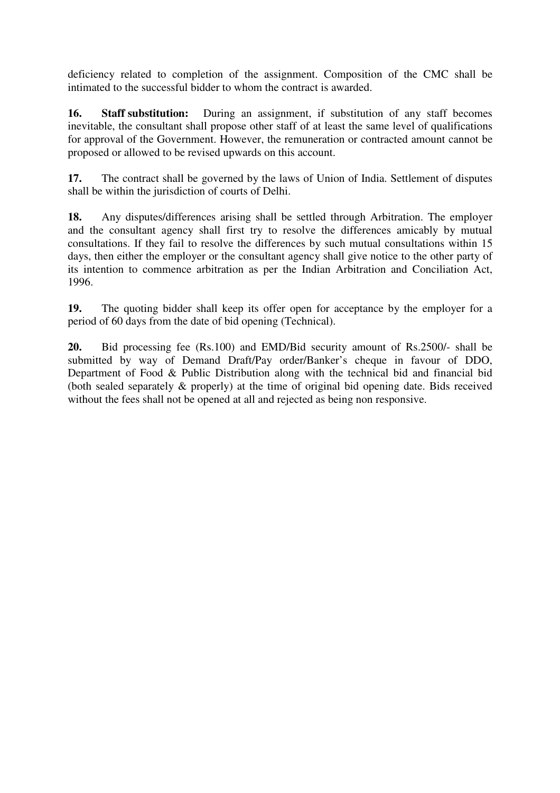deficiency related to completion of the assignment. Composition of the CMC shall be intimated to the successful bidder to whom the contract is awarded.

**16. Staff substitution:** During an assignment, if substitution of any staff becomes inevitable, the consultant shall propose other staff of at least the same level of qualifications for approval of the Government. However, the remuneration or contracted amount cannot be proposed or allowed to be revised upwards on this account.

**17.** The contract shall be governed by the laws of Union of India. Settlement of disputes shall be within the jurisdiction of courts of Delhi.

**18.** Any disputes/differences arising shall be settled through Arbitration. The employer and the consultant agency shall first try to resolve the differences amicably by mutual consultations. If they fail to resolve the differences by such mutual consultations within 15 days, then either the employer or the consultant agency shall give notice to the other party of its intention to commence arbitration as per the Indian Arbitration and Conciliation Act, 1996.

**19.** The quoting bidder shall keep its offer open for acceptance by the employer for a period of 60 days from the date of bid opening (Technical).

**20.** Bid processing fee (Rs.100) and EMD/Bid security amount of Rs.2500/- shall be submitted by way of Demand Draft/Pay order/Banker's cheque in favour of DDO, Department of Food & Public Distribution along with the technical bid and financial bid (both sealed separately & properly) at the time of original bid opening date. Bids received without the fees shall not be opened at all and rejected as being non responsive.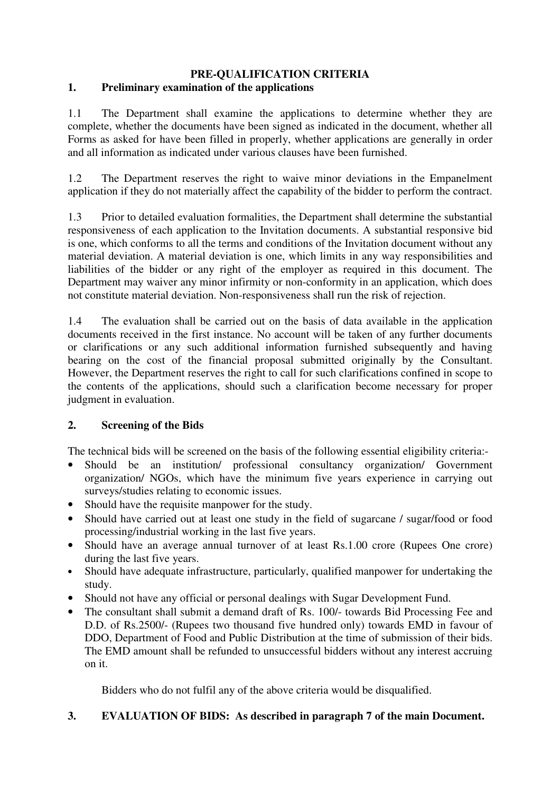#### **PRE-QUALIFICATION CRITERIA 1. Preliminary examination of the applications**

1.1 The Department shall examine the applications to determine whether they are complete, whether the documents have been signed as indicated in the document, whether all Forms as asked for have been filled in properly, whether applications are generally in order and all information as indicated under various clauses have been furnished.

1.2 The Department reserves the right to waive minor deviations in the Empanelment application if they do not materially affect the capability of the bidder to perform the contract.

1.3 Prior to detailed evaluation formalities, the Department shall determine the substantial responsiveness of each application to the Invitation documents. A substantial responsive bid is one, which conforms to all the terms and conditions of the Invitation document without any material deviation. A material deviation is one, which limits in any way responsibilities and liabilities of the bidder or any right of the employer as required in this document. The Department may waiver any minor infirmity or non-conformity in an application, which does not constitute material deviation. Non-responsiveness shall run the risk of rejection.

1.4 The evaluation shall be carried out on the basis of data available in the application documents received in the first instance. No account will be taken of any further documents or clarifications or any such additional information furnished subsequently and having bearing on the cost of the financial proposal submitted originally by the Consultant. However, the Department reserves the right to call for such clarifications confined in scope to the contents of the applications, should such a clarification become necessary for proper judgment in evaluation.

## **2. Screening of the Bids**

The technical bids will be screened on the basis of the following essential eligibility criteria:-

- Should be an institution/ professional consultancy organization/ Government organization/ NGOs, which have the minimum five years experience in carrying out surveys/studies relating to economic issues.
- Should have the requisite manpower for the study.
- Should have carried out at least one study in the field of sugarcane / sugar/food or food processing/industrial working in the last five years.
- Should have an average annual turnover of at least Rs.1.00 crore (Rupees One crore) during the last five years.
- Should have adequate infrastructure, particularly, qualified manpower for undertaking the study.
- Should not have any official or personal dealings with Sugar Development Fund.
- The consultant shall submit a demand draft of Rs. 100/- towards Bid Processing Fee and D.D. of Rs.2500/- (Rupees two thousand five hundred only) towards EMD in favour of DDO, Department of Food and Public Distribution at the time of submission of their bids. The EMD amount shall be refunded to unsuccessful bidders without any interest accruing on it.

Bidders who do not fulfil any of the above criteria would be disqualified.

# **3. EVALUATION OF BIDS: As described in paragraph 7 of the main Document.**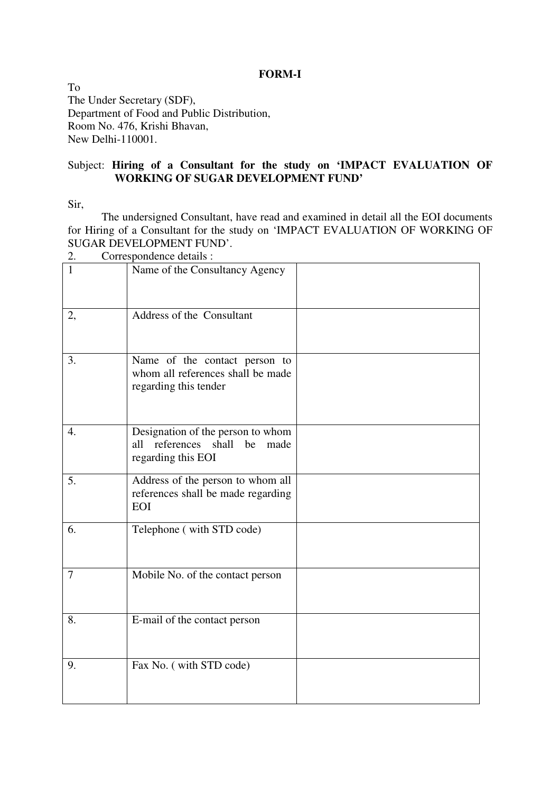#### **FORM-I**

To The Under Secretary (SDF), Department of Food and Public Distribution, Room No. 476, Krishi Bhavan, New Delhi-110001.

#### Subject: **Hiring of a Consultant for the study on 'IMPACT EVALUATION OF WORKING OF SUGAR DEVELOPMENT FUND'**

Sir,

The undersigned Consultant, have read and examined in detail all the EOI documents for Hiring of a Consultant for the study on 'IMPACT EVALUATION OF WORKING OF SUGAR DEVELOPMENT FUND'.

|        | COITESPONDENCE détails.                                                                       |
|--------|-----------------------------------------------------------------------------------------------|
| 1      | Name of the Consultancy Agency                                                                |
| 2,     | Address of the Consultant                                                                     |
| 3.     | Name of the contact person to<br>whom all references shall be made<br>regarding this tender   |
| 4.     | Designation of the person to whom<br>references shall be<br>all<br>made<br>regarding this EOI |
| 5.     | Address of the person to whom all<br>references shall be made regarding<br><b>EOI</b>         |
| 6.     | Telephone (with STD code)                                                                     |
| $\tau$ | Mobile No. of the contact person                                                              |
| 8.     | E-mail of the contact person                                                                  |
| 9.     | Fax No. (with STD code)                                                                       |

Correspondence details :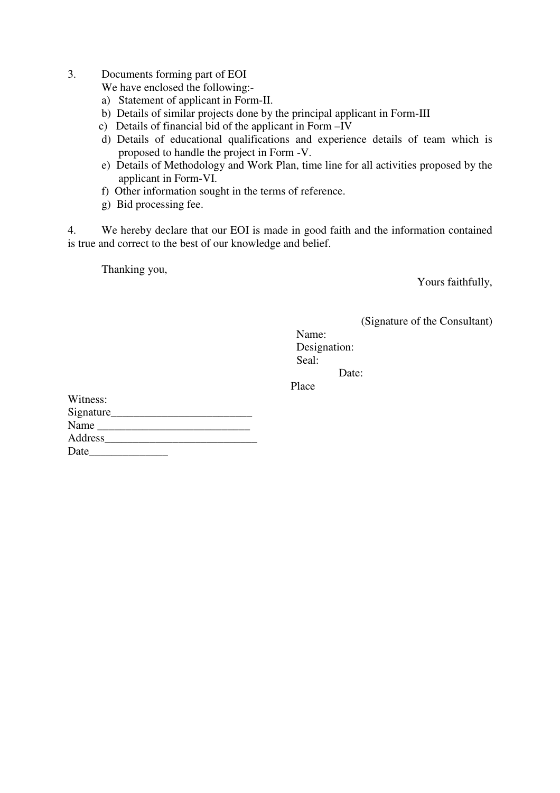3. Documents forming part of EOI

We have enclosed the following:-

- a) Statement of applicant in Form-II.
- b) Details of similar projects done by the principal applicant in Form-III
- c) Details of financial bid of the applicant in Form –IV
- d) Details of educational qualifications and experience details of team which is proposed to handle the project in Form -V.
- e) Details of Methodology and Work Plan, time line for all activities proposed by the applicant in Form-VI.
- f) Other information sought in the terms of reference.
- g) Bid processing fee.

4. We hereby declare that our EOI is made in good faith and the information contained is true and correct to the best of our knowledge and belief.

Thanking you,

Yours faithfully,

(Signature of the Consultant)

 Name: Designation: Seal: Date:

Place **Place** 

| Witness:  |  |
|-----------|--|
| Signature |  |
| Name      |  |
| Address   |  |
| Date      |  |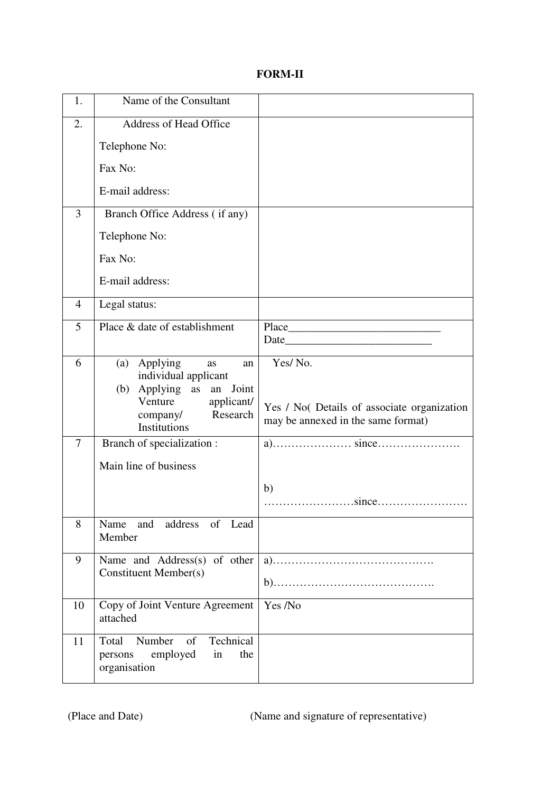## **FORM-II**

| 1.             | Name of the Consultant                                                                                                                                     |                                                                                                                                                                                                                               |
|----------------|------------------------------------------------------------------------------------------------------------------------------------------------------------|-------------------------------------------------------------------------------------------------------------------------------------------------------------------------------------------------------------------------------|
| 2.             | <b>Address of Head Office</b>                                                                                                                              |                                                                                                                                                                                                                               |
|                | Telephone No:                                                                                                                                              |                                                                                                                                                                                                                               |
|                | Fax No:                                                                                                                                                    |                                                                                                                                                                                                                               |
|                | E-mail address:                                                                                                                                            |                                                                                                                                                                                                                               |
| $\overline{3}$ | Branch Office Address (if any)                                                                                                                             |                                                                                                                                                                                                                               |
|                | Telephone No:                                                                                                                                              |                                                                                                                                                                                                                               |
|                | Fax No:                                                                                                                                                    |                                                                                                                                                                                                                               |
|                | E-mail address:                                                                                                                                            |                                                                                                                                                                                                                               |
| 4              | Legal status:                                                                                                                                              |                                                                                                                                                                                                                               |
| 5              | Place & date of establishment                                                                                                                              | Place                                                                                                                                                                                                                         |
|                |                                                                                                                                                            | Date and the set of the set of the set of the set of the set of the set of the set of the set of the set of the set of the set of the set of the set of the set of the set of the set of the set of the set of the set of the |
| 6              | (a) Applying<br>as<br>an<br>individual applicant<br>Applying as an<br>Joint<br>(b)<br>Venture<br>applicant/<br>Research<br>company/<br><b>Institutions</b> | Yes/No.<br>Yes / No( Details of associate organization<br>may be annexed in the same format)                                                                                                                                  |
| 7              | Branch of specialization :                                                                                                                                 |                                                                                                                                                                                                                               |
|                | Main line of business                                                                                                                                      |                                                                                                                                                                                                                               |
|                |                                                                                                                                                            | b)<br>since                                                                                                                                                                                                                   |
| 8              | Name and address of Lead<br>Member                                                                                                                         |                                                                                                                                                                                                                               |
| 9              | Name and Address(s) of other<br><b>Constituent Member(s)</b>                                                                                               |                                                                                                                                                                                                                               |
| 10             | Copy of Joint Venture Agreement<br>attached                                                                                                                | Yes /No                                                                                                                                                                                                                       |
| 11             | Technical<br>Total<br>Number<br>of<br>employed<br>persons<br>in<br>the<br>organisation                                                                     |                                                                                                                                                                                                                               |

(Place and Date) (Name and signature of representative)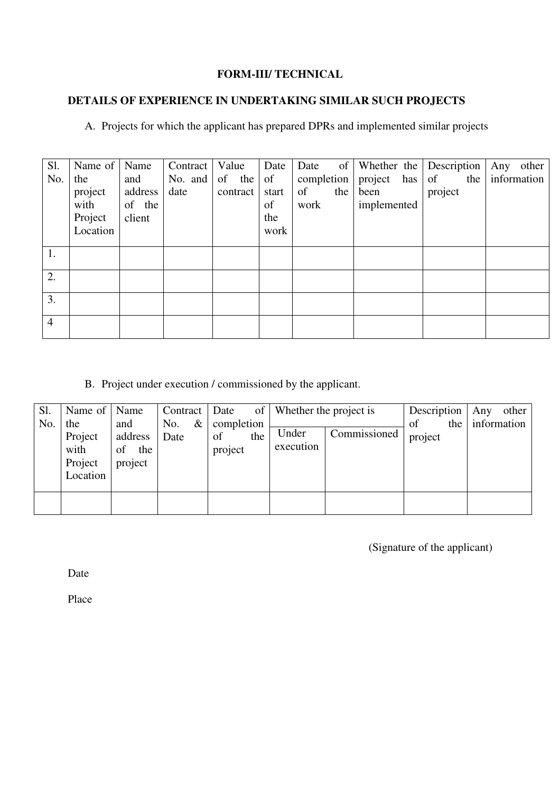#### **FORM-III/ TECHNICAL**

# **DETAILS OF EXPERIENCE IN UNDERTAKING SIMILAR SUCH PROJECTS**

A. Projects for which the applicant has prepared DPRs and implemented similar projects

| Sl.            | Name of  | Name    | Contract        | Value    | Date  | Date       | of Whether the | Description | Any other       |
|----------------|----------|---------|-----------------|----------|-------|------------|----------------|-------------|-----------------|
| No.            | the      | and     | No. and $\vert$ | of the   | of    | completion | project has    | of          | the information |
|                | project  | address | date            | contract | start | of<br>the  | been           | project     |                 |
|                | with     | of the  |                 |          | of    | work       | implemented    |             |                 |
|                | Project  | client  |                 |          | the   |            |                |             |                 |
|                | Location |         |                 |          | work  |            |                |             |                 |
|                |          |         |                 |          |       |            |                |             |                 |
| 1.             |          |         |                 |          |       |            |                |             |                 |
| 2.             |          |         |                 |          |       |            |                |             |                 |
|                |          |         |                 |          |       |            |                |             |                 |
| 3.             |          |         |                 |          |       |            |                |             |                 |
| $\overline{4}$ |          |         |                 |          |       |            |                |             |                 |
|                |          |         |                 |          |       |            |                |             |                 |

B. Project under execution / commissioned by the applicant.

| Sl. | Name of   Name                                |                                        | $Contract \vert$    | Date                               | of   Whether the project is |              | Description   | other<br>Any    |
|-----|-----------------------------------------------|----------------------------------------|---------------------|------------------------------------|-----------------------------|--------------|---------------|-----------------|
| No. | the<br>Project<br>with<br>Project<br>Location | and<br>address<br>the<br>of<br>project | $\&$<br>No.<br>Date | completion<br>of<br>the<br>project | Under<br>execution          | Commissioned | of<br>project | the information |
|     |                                               |                                        |                     |                                    |                             |              |               |                 |

(Signature of the applicant)

Date

Place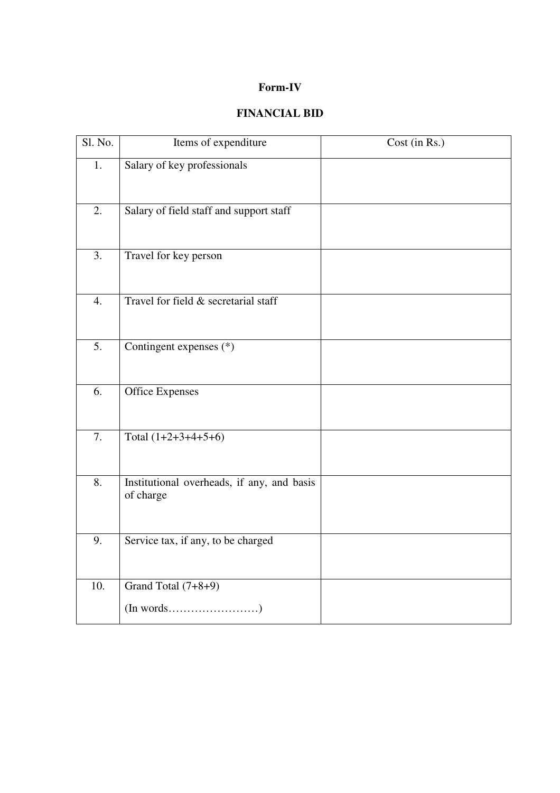### **Form-IV**

# **FINANCIAL BID**

| Sl. No.          | Items of expenditure                                    | Cost (in Rs.) |
|------------------|---------------------------------------------------------|---------------|
| 1.               | Salary of key professionals                             |               |
| 2.               | Salary of field staff and support staff                 |               |
| 3.               | Travel for key person                                   |               |
| 4.               | Travel for field & secretarial staff                    |               |
| 5.               | Contingent expenses (*)                                 |               |
| 6.               | <b>Office Expenses</b>                                  |               |
| 7.               | Total $(1+2+3+4+5+6)$                                   |               |
| $\overline{8}$ . | Institutional overheads, if any, and basis<br>of charge |               |
| 9.               | Service tax, if any, to be charged                      |               |
| 10.              | Grand Total (7+8+9)                                     |               |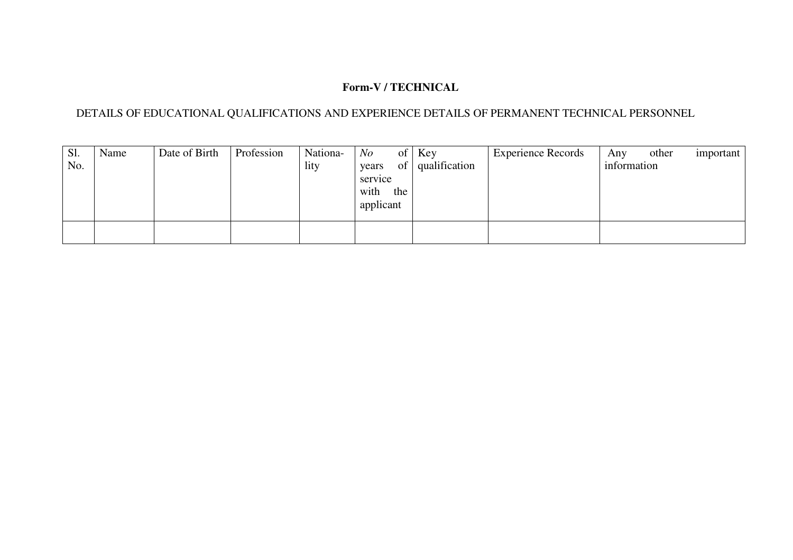## **Form-V / TECHNICAL**

#### DETAILS OF EDUCATIONAL QUALIFICATIONS AND EXPERIENCE DETAILS OF PERMANENT TECHNICAL PERSONNEL

| Sl.<br>No. | Name | Date of Birth | Profession | Nationa-<br>lity | N o<br>$\sigma$ of $\sigma$<br>of<br>years<br>service<br>with<br>the<br>applicant | Key<br>qualification | <b>Experience Records</b> | other<br>Any<br>information | important |
|------------|------|---------------|------------|------------------|-----------------------------------------------------------------------------------|----------------------|---------------------------|-----------------------------|-----------|
|            |      |               |            |                  |                                                                                   |                      |                           |                             |           |